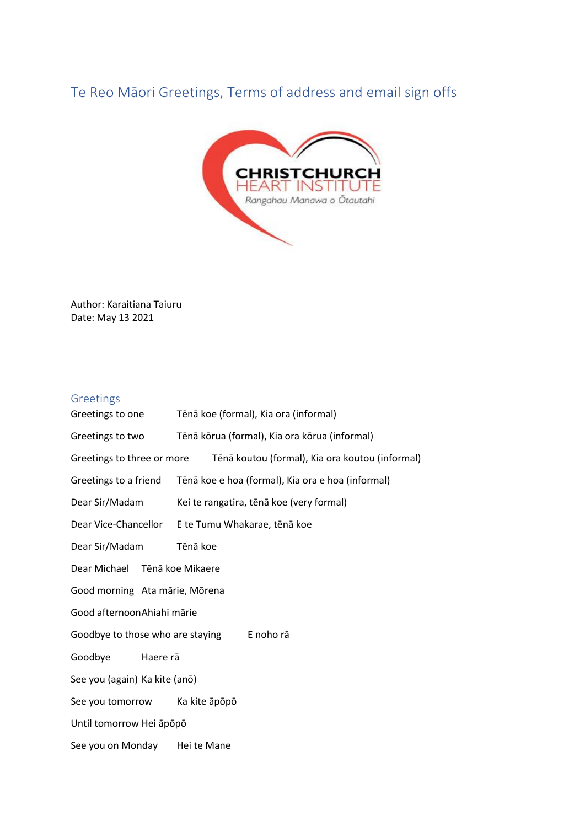## Te Reo Māori Greetings, Terms of address and email sign offs



Author: Karaitiana Taiuru Date: May 13 2021

## Greetings

Greetings to one Tēnā koe (formal), Kia ora (informal) Greetings to two Tēnā kōrua (formal), Kia ora kōrua (informal) Greetings to three or more Tēnā koutou (formal), Kia ora koutou (informal) Greetings to a friend Tēnā koe e hoa (formal), Kia ora e hoa (informal) Dear Sir/Madam Kei te rangatira, tēnā koe (very formal) Dear Vice-Chancellor E te Tumu Whakarae, tēnā koe Dear Sir/Madam Tēnā koe Dear Michael Tēnā koe Mikaere Good morning Ata mārie, Mōrena Good afternoonAhiahi mārie Goodbye to those who are staying E noho rā Goodbye Haere rā See you (again) Ka kite (anō) See you tomorrow Ka kite āpōpō Until tomorrow Hei āpōpō See you on Monday Hei te Mane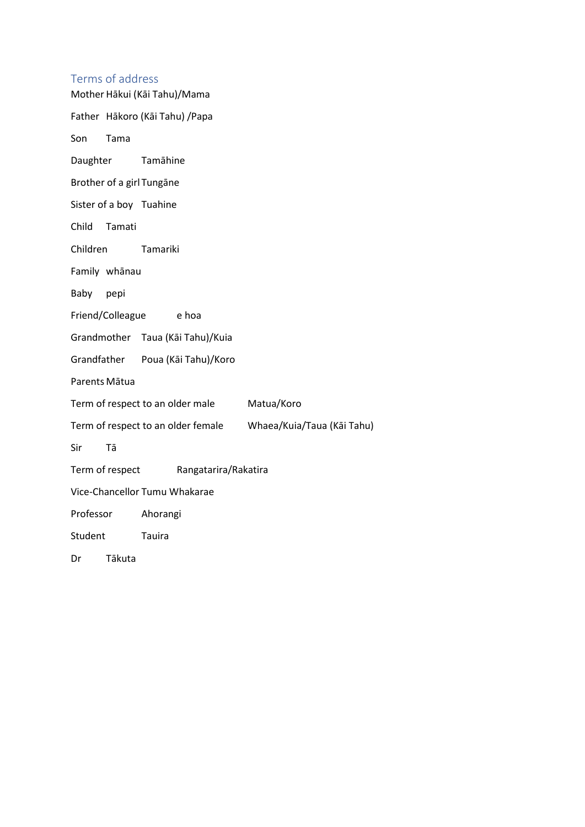## Terms of address

| Mother Hākui (Kāi Tahu)/Mama                                  |                                 |                                  |            |
|---------------------------------------------------------------|---------------------------------|----------------------------------|------------|
|                                                               | Father Hākoro (Kāi Tahu) / Papa |                                  |            |
| Son                                                           | Tama                            |                                  |            |
| Daughter                                                      |                                 | Tamāhine                         |            |
| Brother of a girl Tungane                                     |                                 |                                  |            |
|                                                               |                                 | Sister of a boy Tuahine          |            |
| Child                                                         | Tamati                          |                                  |            |
| Children                                                      |                                 | Tamariki                         |            |
| Family whanau                                                 |                                 |                                  |            |
| Baby                                                          | pepi                            |                                  |            |
| Friend/Colleague e hoa                                        |                                 |                                  |            |
|                                                               |                                 | Grandmother Taua (Kāi Tahu)/Kuia |            |
|                                                               |                                 | Grandfather Poua (Kāi Tahu)/Koro |            |
| Parents Mātua                                                 |                                 |                                  |            |
| Term of respect to an older male                              |                                 |                                  | Matua/Koro |
| Term of respect to an older female Whaea/Kuia/Taua (Kāi Tahu) |                                 |                                  |            |
| Sir                                                           | Tā                              |                                  |            |
| Term of respect Rangatarira/Rakatira                          |                                 |                                  |            |
| Vice-Chancellor Tumu Whakarae                                 |                                 |                                  |            |
| Professor                                                     |                                 | Ahorangi                         |            |
| Student                                                       |                                 | Tauira                           |            |
|                                                               |                                 |                                  |            |

Dr Tākuta